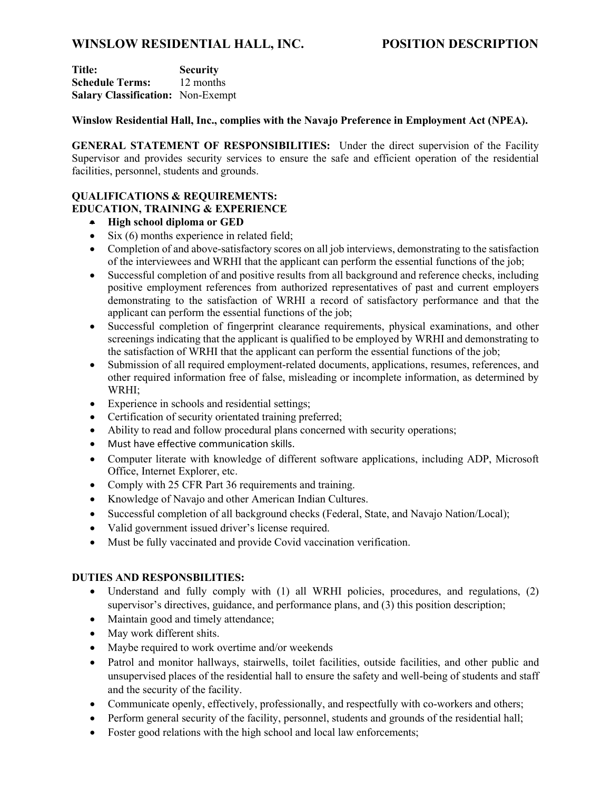# **WINSLOW RESIDENTIAL HALL, INC. POSITION DESCRIPTION**

**Title: Security Schedule Terms:** 12 months **Salary Classification:** Non-Exempt

# **Winslow Residential Hall, Inc., complies with the Navajo Preference in Employment Act (NPEA).**

**GENERAL STATEMENT OF RESPONSIBILITIES:** Under the direct supervision of the Facility Supervisor and provides security services to ensure the safe and efficient operation of the residential facilities, personnel, students and grounds.

## **QUALIFICATIONS & REQUIREMENTS: EDUCATION, TRAINING & EXPERIENCE**

- **High school diploma or GED**
- Six (6) months experience in related field;
- Completion of and above-satisfactory scores on all job interviews, demonstrating to the satisfaction of the interviewees and WRHI that the applicant can perform the essential functions of the job;
- Successful completion of and positive results from all background and reference checks, including positive employment references from authorized representatives of past and current employers demonstrating to the satisfaction of WRHI a record of satisfactory performance and that the applicant can perform the essential functions of the job;
- Successful completion of fingerprint clearance requirements, physical examinations, and other screenings indicating that the applicant is qualified to be employed by WRHI and demonstrating to the satisfaction of WRHI that the applicant can perform the essential functions of the job;
- Submission of all required employment-related documents, applications, resumes, references, and other required information free of false, misleading or incomplete information, as determined by WRHI;
- Experience in schools and residential settings;
- Certification of security orientated training preferred;
- Ability to read and follow procedural plans concerned with security operations;
- Must have effective communication skills.
- Computer literate with knowledge of different software applications, including ADP, Microsoft Office, Internet Explorer, etc.
- Comply with 25 CFR Part 36 requirements and training.
- Knowledge of Navajo and other American Indian Cultures.
- Successful completion of all background checks (Federal, State, and Navajo Nation/Local);
- Valid government issued driver's license required.
- Must be fully vaccinated and provide Covid vaccination verification.

## **DUTIES AND RESPONSBILITIES:**

- Understand and fully comply with (1) all WRHI policies, procedures, and regulations, (2) supervisor's directives, guidance, and performance plans, and (3) this position description;
- Maintain good and timely attendance;
- May work different shits.
- Maybe required to work overtime and/or weekends
- Patrol and monitor hallways, stairwells, toilet facilities, outside facilities, and other public and unsupervised places of the residential hall to ensure the safety and well-being of students and staff and the security of the facility.
- Communicate openly, effectively, professionally, and respectfully with co-workers and others;
- Perform general security of the facility, personnel, students and grounds of the residential hall;
- Foster good relations with the high school and local law enforcements: